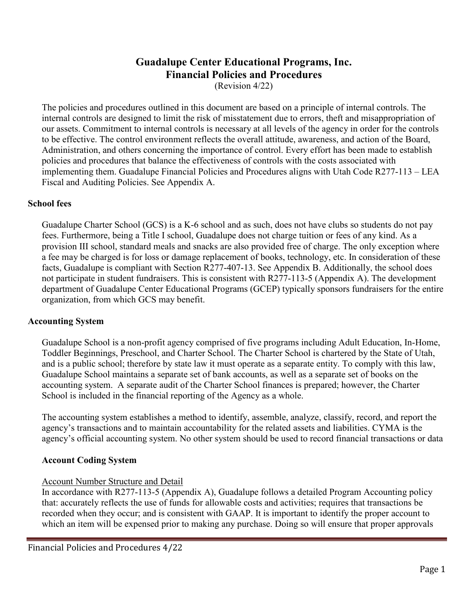# **Guadalupe Center Educational Programs, Inc. Financial Policies and Procedures**

(Revision 4/22)

The policies and procedures outlined in this document are based on a principle of internal controls. The internal controls are designed to limit the risk of misstatement due to errors, theft and misappropriation of our assets. Commitment to internal controls is necessary at all levels of the agency in order for the controls to be effective. The control environment reflects the overall attitude, awareness, and action of the Board, Administration, and others concerning the importance of control. Every effort has been made to establish policies and procedures that balance the effectiveness of controls with the costs associated with implementing them. Guadalupe Financial Policies and Procedures aligns with Utah Code R277-113 – LEA Fiscal and Auditing Policies. See Appendix A.

## **School fees**

 Guadalupe Charter School (GCS) is a K-6 school and as such, does not have clubs so students do not pay fees. Furthermore, being a Title I school, Guadalupe does not charge tuition or fees of any kind. As a provision III school, standard meals and snacks are also provided free of charge. The only exception where a fee may be charged is for loss or damage replacement of books, technology, etc. In consideration of these facts, Guadalupe is compliant with Section R277-407-13. See Appendix B. Additionally, the school does not participate in student fundraisers. This is consistent with R277-113-5 (Appendix A). The development department of Guadalupe Center Educational Programs (GCEP) typically sponsors fundraisers for the entire organization, from which GCS may benefit.

## **Accounting System**

Guadalupe School is a non-profit agency comprised of five programs including Adult Education, In-Home, Toddler Beginnings, Preschool, and Charter School. The Charter School is chartered by the State of Utah, and is a public school; therefore by state law it must operate as a separate entity. To comply with this law, Guadalupe School maintains a separate set of bank accounts, as well as a separate set of books on the accounting system. A separate audit of the Charter School finances is prepared; however, the Charter School is included in the financial reporting of the Agency as a whole.

The accounting system establishes a method to identify, assemble, analyze, classify, record, and report the agency's transactions and to maintain accountability for the related assets and liabilities. CYMA is the agency's official accounting system. No other system should be used to record financial transactions or data

## **Account Coding System**

## Account Number Structure and Detail

In accordance with R277-113-5 (Appendix A), Guadalupe follows a detailed Program Accounting policy that: accurately reflects the use of funds for allowable costs and activities; requires that transactions be recorded when they occur; and is consistent with GAAP. It is important to identify the proper account to which an item will be expensed prior to making any purchase. Doing so will ensure that proper approvals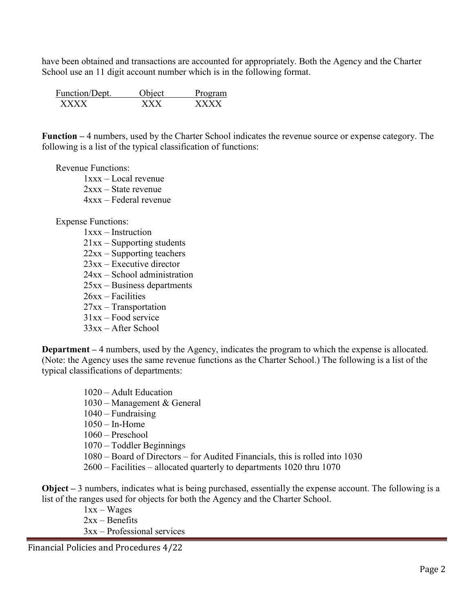have been obtained and transactions are accounted for appropriately. Both the Agency and the Charter School use an 11 digit account number which is in the following format.

| Function/Dept. | <b>Object</b> | Program |
|----------------|---------------|---------|
| <b>x x x x</b> | Y Y Y         | xxxx    |

**Function –** 4 numbers, used by the Charter School indicates the revenue source or expense category. The following is a list of the typical classification of functions:

#### Revenue Functions:

 1xxx – Local revenue 2xxx – State revenue 4xxx – Federal revenue

#### Expense Functions:

- 1xxx Instruction
- 21xx Supporting students
- 22xx Supporting teachers
- 23xx Executive director
- 24xx School administration
- 25xx Business departments
- 26xx Facilities
- 27xx Transportation
- 31xx Food service
- 33xx After School

**Department –** 4 numbers, used by the Agency, indicates the program to which the expense is allocated. (Note: the Agency uses the same revenue functions as the Charter School.) The following is a list of the typical classifications of departments:

- 1020 Adult Education
- 1030 Management & General
- $1040$  Fundraising
- 1050 In-Home
- 1060 Preschool
- 1070 Toddler Beginnings
- 1080 Board of Directors for Audited Financials, this is rolled into 1030
- 2600 Facilities allocated quarterly to departments 1020 thru 1070

**Object –** 3 numbers, indicates what is being purchased, essentially the expense account. The following is a list of the ranges used for objects for both the Agency and the Charter School.

> 1xx – Wages  $2xx -$ Benefits 3xx – Professional services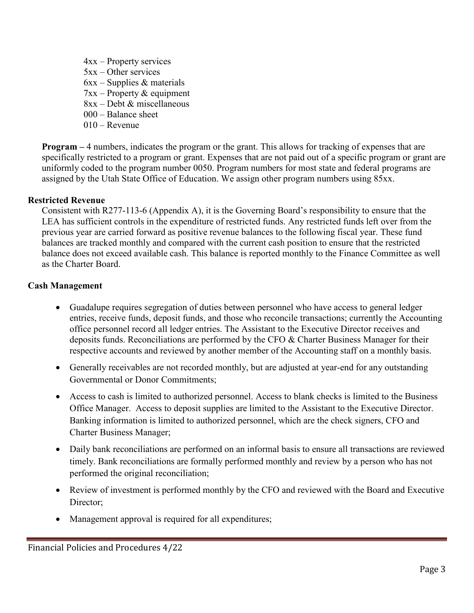- 4xx Property services 5xx – Other services
- $6xx -$ Supplies & materials
- $7xx Property & equipment$
- 8xx Debt & miscellaneous
- 000 Balance sheet
- $010 -$ Revenue

**Program –** 4 numbers, indicates the program or the grant. This allows for tracking of expenses that are specifically restricted to a program or grant. Expenses that are not paid out of a specific program or grant are uniformly coded to the program number 0050. Program numbers for most state and federal programs are assigned by the Utah State Office of Education. We assign other program numbers using 85xx.

## **Restricted Revenue**

Consistent with R277-113-6 (Appendix A), it is the Governing Board's responsibility to ensure that the LEA has sufficient controls in the expenditure of restricted funds. Any restricted funds left over from the previous year are carried forward as positive revenue balances to the following fiscal year. These fund balances are tracked monthly and compared with the current cash position to ensure that the restricted balance does not exceed available cash. This balance is reported monthly to the Finance Committee as well as the Charter Board.

## **Cash Management**

- Guadalupe requires segregation of duties between personnel who have access to general ledger entries, receive funds, deposit funds, and those who reconcile transactions; currently the Accounting office personnel record all ledger entries. The Assistant to the Executive Director receives and deposits funds. Reconciliations are performed by the CFO & Charter Business Manager for their respective accounts and reviewed by another member of the Accounting staff on a monthly basis.
- Generally receivables are not recorded monthly, but are adjusted at year-end for any outstanding Governmental or Donor Commitments;
- Access to cash is limited to authorized personnel. Access to blank checks is limited to the Business Office Manager. Access to deposit supplies are limited to the Assistant to the Executive Director. Banking information is limited to authorized personnel, which are the check signers, CFO and Charter Business Manager;
- Daily bank reconciliations are performed on an informal basis to ensure all transactions are reviewed timely. Bank reconciliations are formally performed monthly and review by a person who has not performed the original reconciliation;
- Review of investment is performed monthly by the CFO and reviewed with the Board and Executive Director;
- Management approval is required for all expenditures;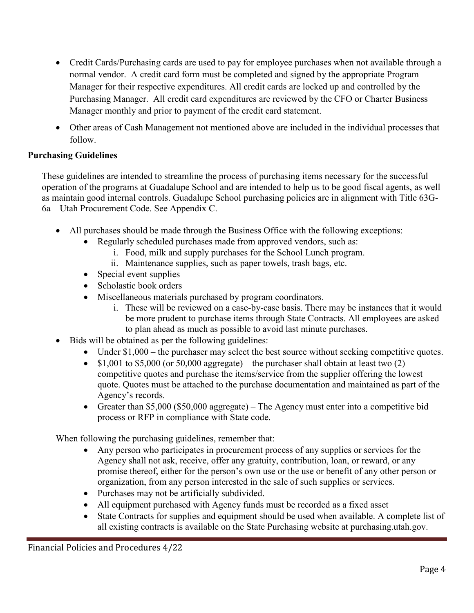- Credit Cards/Purchasing cards are used to pay for employee purchases when not available through a normal vendor. A credit card form must be completed and signed by the appropriate Program Manager for their respective expenditures. All credit cards are locked up and controlled by the Purchasing Manager. All credit card expenditures are reviewed by the CFO or Charter Business Manager monthly and prior to payment of the credit card statement.
- Other areas of Cash Management not mentioned above are included in the individual processes that follow.

## **Purchasing Guidelines**

These guidelines are intended to streamline the process of purchasing items necessary for the successful operation of the programs at Guadalupe School and are intended to help us to be good fiscal agents, as well as maintain good internal controls. Guadalupe School purchasing policies are in alignment with Title 63G-6a – Utah Procurement Code. See Appendix C.

- All purchases should be made through the Business Office with the following exceptions:
	- Regularly scheduled purchases made from approved vendors, such as:
		- i. Food, milk and supply purchases for the School Lunch program.
		- ii. Maintenance supplies, such as paper towels, trash bags, etc.
	- Special event supplies
	- Scholastic book orders
	- Miscellaneous materials purchased by program coordinators.
		- i. These will be reviewed on a case-by-case basis. There may be instances that it would be more prudent to purchase items through State Contracts. All employees are asked to plan ahead as much as possible to avoid last minute purchases.
- Bids will be obtained as per the following guidelines:
	- Under \$1,000 the purchaser may select the best source without seeking competitive quotes.
	- \$1,001 to \$5,000 (or 50,000 aggregate) the purchaser shall obtain at least two  $(2)$ competitive quotes and purchase the items/service from the supplier offering the lowest quote. Quotes must be attached to the purchase documentation and maintained as part of the Agency's records.
	- Greater than \$5,000 (\$50,000 aggregate) The Agency must enter into a competitive bid process or RFP in compliance with State code.

When following the purchasing guidelines, remember that:

- Any person who participates in procurement process of any supplies or services for the Agency shall not ask, receive, offer any gratuity, contribution, loan, or reward, or any promise thereof, either for the person's own use or the use or benefit of any other person or organization, from any person interested in the sale of such supplies or services.
- Purchases may not be artificially subdivided.
- All equipment purchased with Agency funds must be recorded as a fixed asset
- State Contracts for supplies and equipment should be used when available. A complete list of all existing contracts is available on the State Purchasing website at purchasing.utah.gov.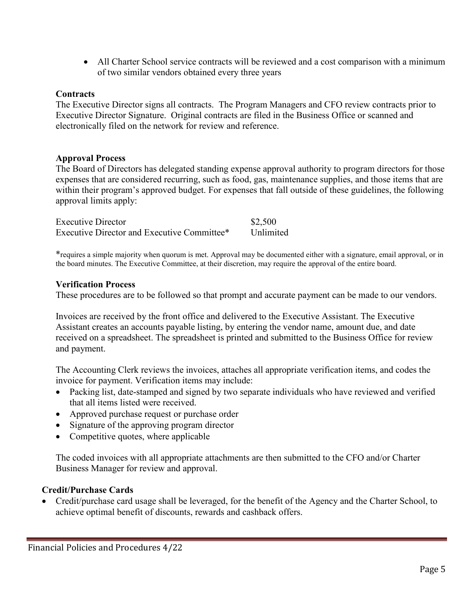• All Charter School service contracts will be reviewed and a cost comparison with a minimum of two similar vendors obtained every three years

## **Contracts**

The Executive Director signs all contracts. The Program Managers and CFO review contracts prior to Executive Director Signature. Original contracts are filed in the Business Office or scanned and electronically filed on the network for review and reference.

## **Approval Process**

The Board of Directors has delegated standing expense approval authority to program directors for those expenses that are considered recurring, such as food, gas, maintenance supplies, and those items that are within their program's approved budget. For expenses that fall outside of these guidelines, the following approval limits apply:

| <b>Executive Director</b>                   | \$2,500   |
|---------------------------------------------|-----------|
| Executive Director and Executive Committee* | Unlimited |

\*requires a simple majority when quorum is met. Approval may be documented either with a signature, email approval, or in the board minutes. The Executive Committee, at their discretion, may require the approval of the entire board.

## **Verification Process**

These procedures are to be followed so that prompt and accurate payment can be made to our vendors.

Invoices are received by the front office and delivered to the Executive Assistant. The Executive Assistant creates an accounts payable listing, by entering the vendor name, amount due, and date received on a spreadsheet. The spreadsheet is printed and submitted to the Business Office for review and payment.

The Accounting Clerk reviews the invoices, attaches all appropriate verification items, and codes the invoice for payment. Verification items may include:

- Packing list, date-stamped and signed by two separate individuals who have reviewed and verified that all items listed were received.
- Approved purchase request or purchase order
- Signature of the approving program director
- Competitive quotes, where applicable

The coded invoices with all appropriate attachments are then submitted to the CFO and/or Charter Business Manager for review and approval.

## **Credit/Purchase Cards**

• Credit/purchase card usage shall be leveraged, for the benefit of the Agency and the Charter School, to achieve optimal benefit of discounts, rewards and cashback offers.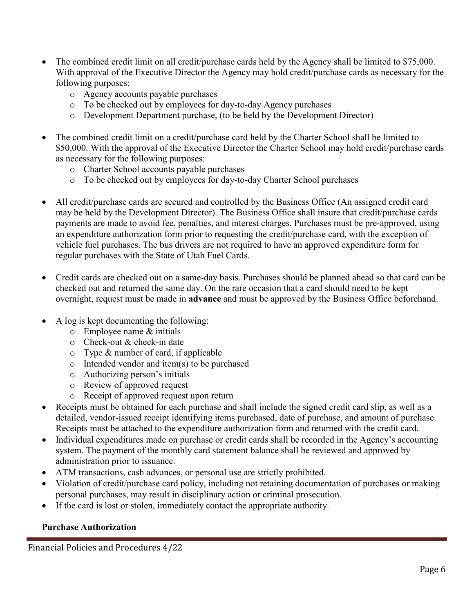- The combined credit limit on all credit/purchase cards held by the Agency shall be limited to \$75,000. With approval of the Executive Director the Agency may hold credit/purchase cards as necessary for the following purposes:
	- o Agency accounts payable purchases
	- o To be checked out by employees for day-to-day Agency purchases
	- o Development Department purchase, (to be held by the Development Director)
- The combined credit limit on a credit/purchase card held by the Charter School shall be limited to \$50,000. With the approval of the Executive Director the Charter School may hold credit/purchase cards as necessary for the following purposes:
	- o Charter School accounts payable purchases
	- o To be checked out by employees for day-to-day Charter School purchases
- All credit/purchase cards are secured and controlled by the Business Office (An assigned credit card may be held by the Development Director). The Business Office shall insure that credit/purchase cards payments are made to avoid fee, penalties, and interest charges. Purchases must be pre-approved, using an expenditure authorization form prior to requesting the credit/purchase card, with the exception of vehicle fuel purchases. The bus drivers are not required to have an approved expenditure form for regular purchases with the State of Utah Fuel Cards.
- Credit cards are checked out on a same-day basis. Purchases should be planned ahead so that card can be checked out and returned the same day. On the rare occasion that a card should need to be kept overnight, request must be made in **advance** and must be approved by the Business Office beforehand.
- A log is kept documenting the following:
	- o Employee name & initials
	- o Check-out & check-in date
	- o Type & number of card, if applicable
	- o Intended vendor and item(s) to be purchased
	- o Authorizing person's initials
	- o Review of approved request
	- o Receipt of approved request upon return
- Receipts must be obtained for each purchase and shall include the signed credit card slip, as well as a detailed, vendor-issued receipt identifying items purchased, date of purchase, and amount of purchase. Receipts must be attached to the expenditure authorization form and returned with the credit card.
- Individual expenditures made on purchase or credit cards shall be recorded in the Agency's accounting system. The payment of the monthly card statement balance shall be reviewed and approved by administration prior to issuance.
- ATM transactions, cash advances, or personal use are strictly prohibited.
- Violation of credit/purchase card policy, including not retaining documentation of purchases or making personal purchases, may result in disciplinary action or criminal prosecution.
- If the card is lost or stolen, immediately contact the appropriate authority.

## **Purchase Authorization**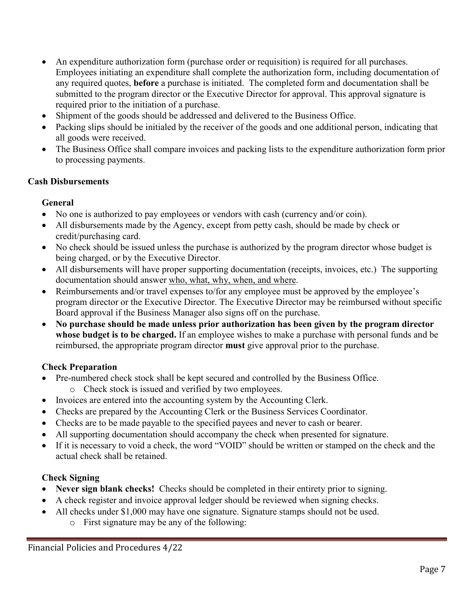- An expenditure authorization form (purchase order or requisition) is required for all purchases. Employees initiating an expenditure shall complete the authorization form, including documentation of any required quotes, **before** a purchase is initiated. The completed form and documentation shall be submitted to the program director or the Executive Director for approval. This approval signature is required prior to the initiation of a purchase.
- Shipment of the goods should be addressed and delivered to the Business Office.
- Packing slips should be initialed by the receiver of the goods and one additional person, indicating that all goods were received.
- The Business Office shall compare invoices and packing lists to the expenditure authorization form prior to processing payments.

## **Cash Disbursements**

## **General**

- No one is authorized to pay employees or vendors with cash (currency and/or coin).
- All disbursements made by the Agency, except from petty cash, should be made by check or credit/purchasing card.
- No check should be issued unless the purchase is authorized by the program director whose budget is being charged, or by the Executive Director.
- All disbursements will have proper supporting documentation (receipts, invoices, etc.) The supporting documentation should answer who, what, why, when, and where.
- Reimbursements and/or travel expenses to/for any employee must be approved by the employee's program director or the Executive Director. The Executive Director may be reimbursed without specific Board approval if the Business Manager also signs off on the purchase.
- **No purchase should be made unless prior authorization has been given by the program director whose budget is to be charged.** If an employee wishes to make a purchase with personal funds and be reimbursed, the appropriate program director **must** give approval prior to the purchase.

## **Check Preparation**

- Pre-numbered check stock shall be kept secured and controlled by the Business Office.
	- o Check stock is issued and verified by two employees.
- Invoices are entered into the accounting system by the Accounting Clerk.
- Checks are prepared by the Accounting Clerk or the Business Services Coordinator.
- Checks are to be made payable to the specified payees and never to cash or bearer.
- All supporting documentation should accompany the check when presented for signature.
- If it is necessary to void a check, the word "VOID" should be written or stamped on the check and the actual check shall be retained.

## **Check Signing**

- **Never sign blank checks!** Checks should be completed in their entirety prior to signing.
- A check register and invoice approval ledger should be reviewed when signing checks.
- All checks under \$1,000 may have one signature. Signature stamps should not be used.
	- o First signature may be any of the following: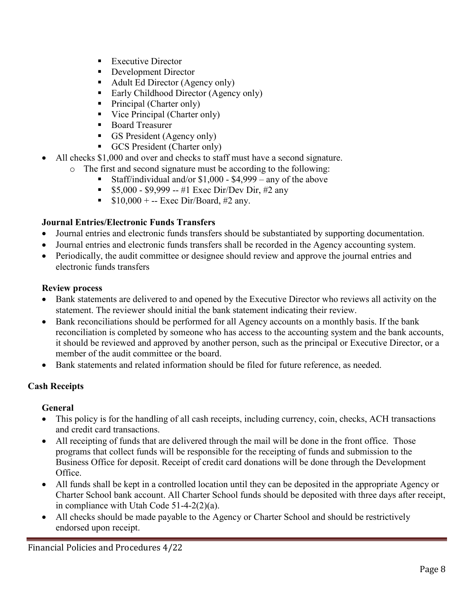- **Executive Director**
- Development Director
- Adult Ed Director (Agency only)
- Early Childhood Director (Agency only)
- Principal (Charter only)
- Vice Principal (Charter only)
- Board Treasurer
- GS President (Agency only)
- GCS President (Charter only)
- All checks \$1,000 and over and checks to staff must have a second signature.
	- o The first and second signature must be according to the following:
		- Staff/individual and/or \$1,000 \$4,999 any of the above
		- $\bullet$  \$5,000 \$9,999 -- #1 Exec Dir/Dev Dir, #2 any
		- $\bullet$  \$10,000 + -- Exec Dir/Board, #2 any.

## **Journal Entries/Electronic Funds Transfers**

- Journal entries and electronic funds transfers should be substantiated by supporting documentation.
- Journal entries and electronic funds transfers shall be recorded in the Agency accounting system.
- Periodically, the audit committee or designee should review and approve the journal entries and electronic funds transfers

## **Review process**

- Bank statements are delivered to and opened by the Executive Director who reviews all activity on the statement. The reviewer should initial the bank statement indicating their review.
- Bank reconciliations should be performed for all Agency accounts on a monthly basis. If the bank reconciliation is completed by someone who has access to the accounting system and the bank accounts, it should be reviewed and approved by another person, such as the principal or Executive Director, or a member of the audit committee or the board.
- Bank statements and related information should be filed for future reference, as needed.

## **Cash Receipts**

## **General**

- This policy is for the handling of all cash receipts, including currency, coin, checks, ACH transactions and credit card transactions.
- All receipting of funds that are delivered through the mail will be done in the front office. Those programs that collect funds will be responsible for the receipting of funds and submission to the Business Office for deposit. Receipt of credit card donations will be done through the Development Office.
- All funds shall be kept in a controlled location until they can be deposited in the appropriate Agency or Charter School bank account. All Charter School funds should be deposited with three days after receipt, in compliance with Utah Code 51-4-2(2)(a).
- All checks should be made payable to the Agency or Charter School and should be restrictively endorsed upon receipt.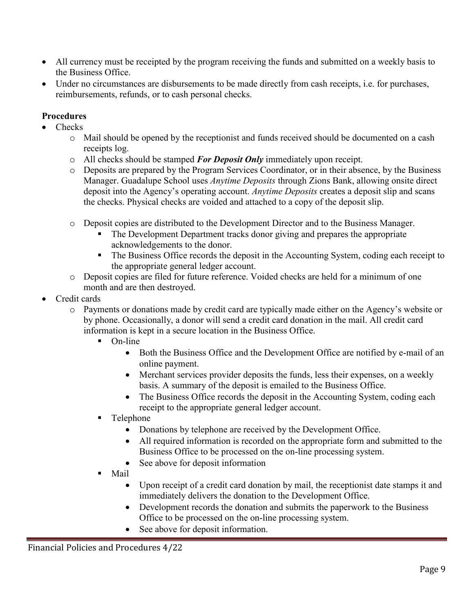- All currency must be receipted by the program receiving the funds and submitted on a weekly basis to the Business Office.
- Under no circumstances are disbursements to be made directly from cash receipts, i.e. for purchases, reimbursements, refunds, or to cash personal checks.

# **Procedures**

- Checks
	- o Mail should be opened by the receptionist and funds received should be documented on a cash receipts log.
	- o All checks should be stamped *For Deposit Only* immediately upon receipt.
	- o Deposits are prepared by the Program Services Coordinator, or in their absence, by the Business Manager. Guadalupe School uses *Anytime Deposits* through Zions Bank, allowing onsite direct deposit into the Agency's operating account. *Anytime Deposits* creates a deposit slip and scans the checks. Physical checks are voided and attached to a copy of the deposit slip.
	- o Deposit copies are distributed to the Development Director and to the Business Manager.
		- The Development Department tracks donor giving and prepares the appropriate acknowledgements to the donor.
		- The Business Office records the deposit in the Accounting System, coding each receipt to the appropriate general ledger account.
	- o Deposit copies are filed for future reference. Voided checks are held for a minimum of one month and are then destroyed.
- Credit cards
	- o Payments or donations made by credit card are typically made either on the Agency's website or by phone. Occasionally, a donor will send a credit card donation in the mail. All credit card information is kept in a secure location in the Business Office.
		- $\blacksquare$  On-line
			- Both the Business Office and the Development Office are notified by e-mail of an online payment.
			- Merchant services provider deposits the funds, less their expenses, on a weekly basis. A summary of the deposit is emailed to the Business Office.
			- The Business Office records the deposit in the Accounting System, coding each receipt to the appropriate general ledger account.
		- Telephone
			- Donations by telephone are received by the Development Office.
			- All required information is recorded on the appropriate form and submitted to the Business Office to be processed on the on-line processing system.
			- See above for deposit information
		- Mail
			- Upon receipt of a credit card donation by mail, the receptionist date stamps it and immediately delivers the donation to the Development Office.
			- Development records the donation and submits the paperwork to the Business Office to be processed on the on-line processing system.
			- See above for deposit information.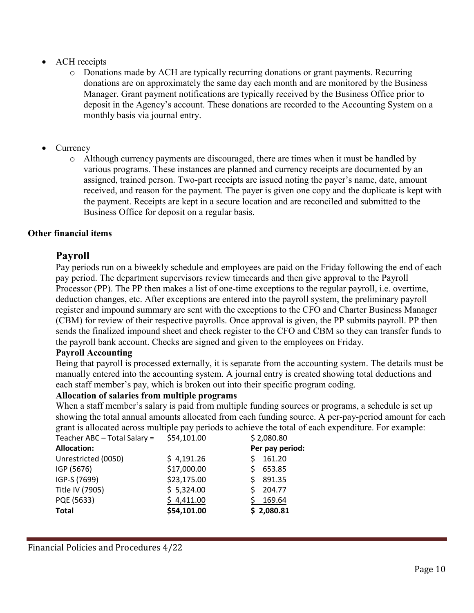- ACH receipts
	- o Donations made by ACH are typically recurring donations or grant payments. Recurring donations are on approximately the same day each month and are monitored by the Business Manager. Grant payment notifications are typically received by the Business Office prior to deposit in the Agency's account. These donations are recorded to the Accounting System on a monthly basis via journal entry.
- **Currency** 
	- o Although currency payments are discouraged, there are times when it must be handled by various programs. These instances are planned and currency receipts are documented by an assigned, trained person. Two-part receipts are issued noting the payer's name, date, amount received, and reason for the payment. The payer is given one copy and the duplicate is kept with the payment. Receipts are kept in a secure location and are reconciled and submitted to the Business Office for deposit on a regular basis.

## **Other financial items**

## **Payroll**

Pay periods run on a biweekly schedule and employees are paid on the Friday following the end of each pay period. The department supervisors review timecards and then give approval to the Payroll Processor (PP). The PP then makes a list of one-time exceptions to the regular payroll, i.e. overtime, deduction changes, etc. After exceptions are entered into the payroll system, the preliminary payroll register and impound summary are sent with the exceptions to the CFO and Charter Business Manager (CBM) for review of their respective payrolls. Once approval is given, the PP submits payroll. PP then sends the finalized impound sheet and check register to the CFO and CBM so they can transfer funds to the payroll bank account. Checks are signed and given to the employees on Friday.

## **Payroll Accounting**

Being that payroll is processed externally, it is separate from the accounting system. The details must be manually entered into the accounting system. A journal entry is created showing total deductions and each staff member's pay, which is broken out into their specific program coding.

## **Allocation of salaries from multiple programs**

When a staff member's salary is paid from multiple funding sources or programs, a schedule is set up showing the total annual amounts allocated from each funding source. A per-pay-period amount for each grant is allocated across multiple pay periods to achieve the total of each expenditure. For example:

| \$54,101.00 | \$2,080.80      |
|-------------|-----------------|
|             | Per pay period: |
| \$4,191.26  | 161.20          |
| \$17,000.00 | 653.85          |
| \$23,175.00 | 891.35          |
| \$5,324.00  | 204.77          |
| \$4,411.00  | 169.64          |
| \$54,101.00 | \$2,080.81      |
|             |                 |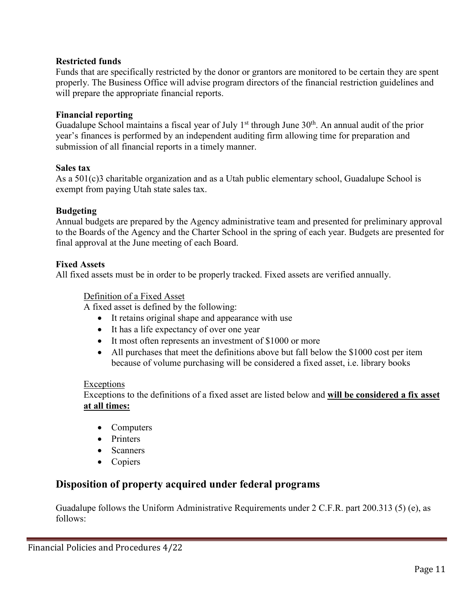## **Restricted funds**

Funds that are specifically restricted by the donor or grantors are monitored to be certain they are spent properly. The Business Office will advise program directors of the financial restriction guidelines and will prepare the appropriate financial reports.

### **Financial reporting**

Guadalupe School maintains a fiscal year of July  $1<sup>st</sup>$  through June  $30<sup>th</sup>$ . An annual audit of the prior year's finances is performed by an independent auditing firm allowing time for preparation and submission of all financial reports in a timely manner.

#### **Sales tax**

As a 501(c)3 charitable organization and as a Utah public elementary school, Guadalupe School is exempt from paying Utah state sales tax.

## **Budgeting**

Annual budgets are prepared by the Agency administrative team and presented for preliminary approval to the Boards of the Agency and the Charter School in the spring of each year. Budgets are presented for final approval at the June meeting of each Board.

#### **Fixed Assets**

All fixed assets must be in order to be properly tracked. Fixed assets are verified annually.

#### Definition of a Fixed Asset

A fixed asset is defined by the following:

- It retains original shape and appearance with use
- It has a life expectancy of over one year
- It most often represents an investment of \$1000 or more
- All purchases that meet the definitions above but fall below the \$1000 cost per item because of volume purchasing will be considered a fixed asset, i.e. library books

#### **Exceptions**

Exceptions to the definitions of a fixed asset are listed below and **will be considered a fix asset at all times:**

- Computers
- Printers
- Scanners
- Copiers

# **Disposition of property acquired under federal programs**

Guadalupe follows the Uniform Administrative Requirements under 2 C.F.R. part 200.313 (5) (e), as follows: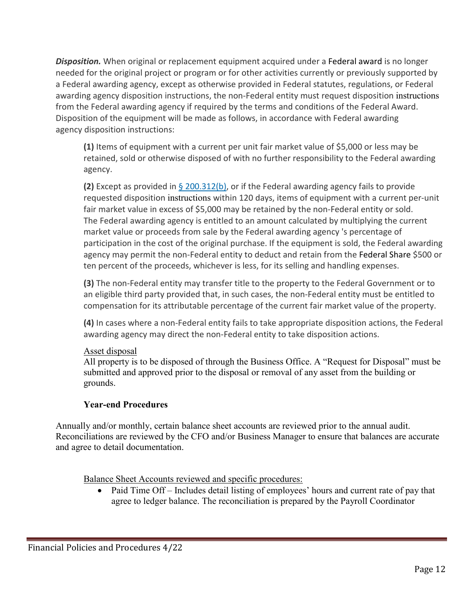*Disposition.* When original or replacement equipment acquired under a Federal award is no longer needed for the original project or program or for other activities currently or previously supported by a Federal awarding agency, except as otherwise provided in Federal statutes, regulations, or Federal awarding agency disposition instructions, the non-Federal entity must request disposition instructions from the Federal awarding agency if required by the terms and conditions of the Federal Award. Disposition of the equipment will be made as follows, in accordance with Federal awarding agency disposition instructions:

**(1)** Items of equipment with a current per unit fair market value of \$5,000 or less may be retained, sold or otherwise disposed of with no further responsibility to the Federal awarding agency.

**(2)** Except as provided in [§ 200.312\(b\),](https://www.law.cornell.edu/cfr/text/2/200.312#b) or if the Federal awarding agency fails to provide requested disposition instructions within 120 days, items of equipment with a current per-unit fair market value in excess of \$5,000 may be retained by the non-Federal entity or sold. The Federal awarding agency is entitled to an amount calculated by multiplying the current market value or proceeds from sale by the Federal awarding agency 's percentage of participation in the cost of the original purchase. If the equipment is sold, the Federal awarding agency may permit the non-Federal entity to deduct and retain from the Federal Share \$500 or ten percent of the proceeds, whichever is less, for its selling and handling expenses.

**(3)** The non-Federal entity may transfer title to the property to the Federal Government or to an eligible third party provided that, in such cases, the non-Federal entity must be entitled to compensation for its attributable percentage of the current fair market value of the property.

**(4)** In cases where a non-Federal entity fails to take appropriate disposition actions, the Federal awarding agency may direct the non-Federal entity to take disposition actions.

## Asset disposal

All property is to be disposed of through the Business Office. A "Request for Disposal" must be submitted and approved prior to the disposal or removal of any asset from the building or grounds.

# **Year-end Procedures**

Annually and/or monthly, certain balance sheet accounts are reviewed prior to the annual audit. Reconciliations are reviewed by the CFO and/or Business Manager to ensure that balances are accurate and agree to detail documentation.

Balance Sheet Accounts reviewed and specific procedures:

• Paid Time Off – Includes detail listing of employees' hours and current rate of pay that agree to ledger balance. The reconciliation is prepared by the Payroll Coordinator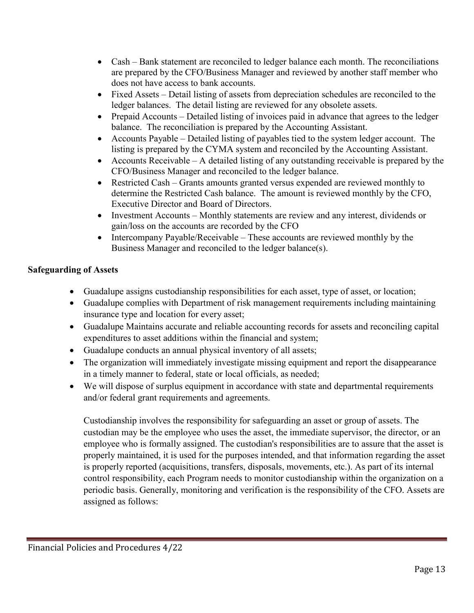- Cash Bank statement are reconciled to ledger balance each month. The reconciliations are prepared by the CFO/Business Manager and reviewed by another staff member who does not have access to bank accounts.
- Fixed Assets Detail listing of assets from depreciation schedules are reconciled to the ledger balances. The detail listing are reviewed for any obsolete assets.
- Prepaid Accounts Detailed listing of invoices paid in advance that agrees to the ledger balance. The reconciliation is prepared by the Accounting Assistant.
- Accounts Payable Detailed listing of payables tied to the system ledger account. The listing is prepared by the CYMA system and reconciled by the Accounting Assistant.
- Accounts Receivable A detailed listing of any outstanding receivable is prepared by the CFO/Business Manager and reconciled to the ledger balance.
- Restricted Cash Grants amounts granted versus expended are reviewed monthly to determine the Restricted Cash balance. The amount is reviewed monthly by the CFO, Executive Director and Board of Directors.
- Investment Accounts Monthly statements are review and any interest, dividends or gain/loss on the accounts are recorded by the CFO
- Intercompany Payable/Receivable These accounts are reviewed monthly by the Business Manager and reconciled to the ledger balance(s).

## **Safeguarding of Assets**

- Guadalupe assigns custodianship responsibilities for each asset, type of asset, or location;
- Guadalupe complies with Department of risk management requirements including maintaining insurance type and location for every asset;
- Guadalupe Maintains accurate and reliable accounting records for assets and reconciling capital expenditures to asset additions within the financial and system;
- Guadalupe conducts an annual physical inventory of all assets;
- The organization will immediately investigate missing equipment and report the disappearance in a timely manner to federal, state or local officials, as needed;
- We will dispose of surplus equipment in accordance with state and departmental requirements and/or federal grant requirements and agreements.

Custodianship involves the responsibility for safeguarding an asset or group of assets. The custodian may be the employee who uses the asset, the immediate supervisor, the director, or an employee who is formally assigned. The custodian's responsibilities are to assure that the asset is properly maintained, it is used for the purposes intended, and that information regarding the asset is properly reported (acquisitions, transfers, disposals, movements, etc.). As part of its internal control responsibility, each Program needs to monitor custodianship within the organization on a periodic basis. Generally, monitoring and verification is the responsibility of the CFO. Assets are assigned as follows: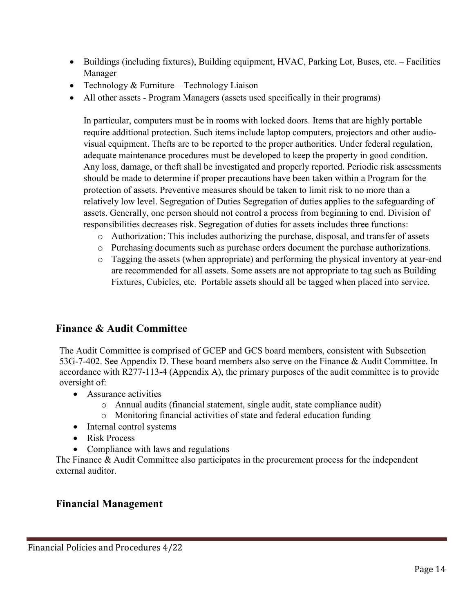- Buildings (including fixtures), Building equipment, HVAC, Parking Lot, Buses, etc. Facilities Manager
- Technology & Furniture Technology Liaison
- All other assets Program Managers (assets used specifically in their programs)

In particular, computers must be in rooms with locked doors. Items that are highly portable require additional protection. Such items include laptop computers, projectors and other audiovisual equipment. Thefts are to be reported to the proper authorities. Under federal regulation, adequate maintenance procedures must be developed to keep the property in good condition. Any loss, damage, or theft shall be investigated and properly reported. Periodic risk assessments should be made to determine if proper precautions have been taken within a Program for the protection of assets. Preventive measures should be taken to limit risk to no more than a relatively low level. Segregation of Duties Segregation of duties applies to the safeguarding of assets. Generally, one person should not control a process from beginning to end. Division of responsibilities decreases risk. Segregation of duties for assets includes three functions:

- o Authorization: This includes authorizing the purchase, disposal, and transfer of assets
- o Purchasing documents such as purchase orders document the purchase authorizations.
- o Tagging the assets (when appropriate) and performing the physical inventory at year-end are recommended for all assets. Some assets are not appropriate to tag such as Building Fixtures, Cubicles, etc. Portable assets should all be tagged when placed into service.

# **Finance & Audit Committee**

The Audit Committee is comprised of GCEP and GCS board members, consistent with Subsection 53G-7-402. See Appendix D. These board members also serve on the Finance & Audit Committee. In accordance with R277-113-4 (Appendix A), the primary purposes of the audit committee is to provide oversight of:

- Assurance activities
	- o Annual audits (financial statement, single audit, state compliance audit)
	- o Monitoring financial activities of state and federal education funding
- Internal control systems
- Risk Process
- Compliance with laws and regulations

The Finance & Audit Committee also participates in the procurement process for the independent external auditor.

# **Financial Management**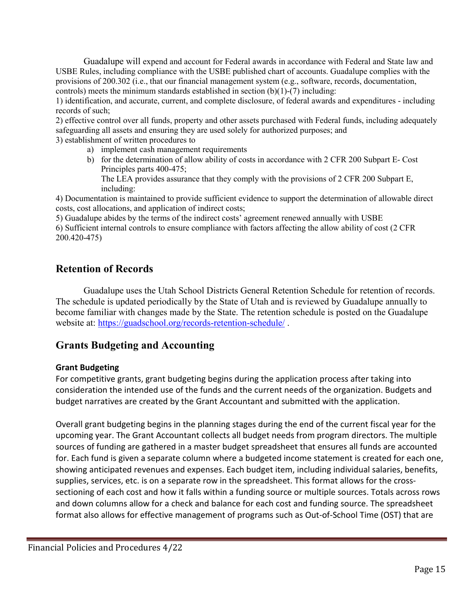Guadalupe will expend and account for Federal awards in accordance with Federal and State law and USBE Rules, including compliance with the USBE published chart of accounts. Guadalupe complies with the provisions of 200.302 (i.e., that our financial management system (e.g., software, records, documentation, controls) meets the minimum standards established in section  $(b)(1)-(7)$  including:

1) identification, and accurate, current, and complete disclosure, of federal awards and expenditures - including records of such;

2) effective control over all funds, property and other assets purchased with Federal funds, including adequately safeguarding all assets and ensuring they are used solely for authorized purposes; and 3) establishment of written procedures to

- a) implement cash management requirements
- b) for the determination of allow ability of costs in accordance with 2 CFR 200 Subpart E- Cost Principles parts 400-475; The LEA provides assurance that they comply with the provisions of 2 CFR 200 Subpart E,

including: 4) Documentation is maintained to provide sufficient evidence to support the determination of allowable direct costs, cost allocations, and application of indirect costs;

5) Guadalupe abides by the terms of the indirect costs' agreement renewed annually with USBE 6) Sufficient internal controls to ensure compliance with factors affecting the allow ability of cost (2 CFR 200.420-475)

# **Retention of Records**

 Guadalupe uses the Utah School Districts General Retention Schedule for retention of records. The schedule is updated periodically by the State of Utah and is reviewed by Guadalupe annually to become familiar with changes made by the State. The retention schedule is posted on the Guadalupe website at:<https://guadschool.org/records-retention-schedule/>.

# **Grants Budgeting and Accounting**

## **Grant Budgeting**

For competitive grants, grant budgeting begins during the application process after taking into consideration the intended use of the funds and the current needs of the organization. Budgets and budget narratives are created by the Grant Accountant and submitted with the application.

Overall grant budgeting begins in the planning stages during the end of the current fiscal year for the upcoming year. The Grant Accountant collects all budget needs from program directors. The multiple sources of funding are gathered in a master budget spreadsheet that ensures all funds are accounted for. Each fund is given a separate column where a budgeted income statement is created for each one, showing anticipated revenues and expenses. Each budget item, including individual salaries, benefits, supplies, services, etc. is on a separate row in the spreadsheet. This format allows for the crosssectioning of each cost and how it falls within a funding source or multiple sources. Totals across rows and down columns allow for a check and balance for each cost and funding source. The spreadsheet format also allows for effective management of programs such as Out-of-School Time (OST) that are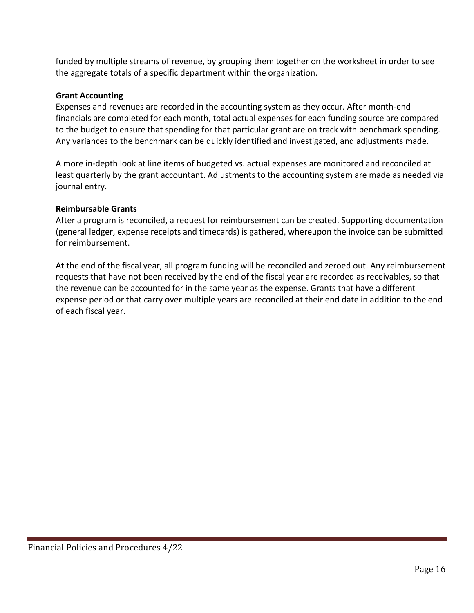funded by multiple streams of revenue, by grouping them together on the worksheet in order to see the aggregate totals of a specific department within the organization.

## **Grant Accounting**

Expenses and revenues are recorded in the accounting system as they occur. After month-end financials are completed for each month, total actual expenses for each funding source are compared to the budget to ensure that spending for that particular grant are on track with benchmark spending. Any variances to the benchmark can be quickly identified and investigated, and adjustments made.

A more in-depth look at line items of budgeted vs. actual expenses are monitored and reconciled at least quarterly by the grant accountant. Adjustments to the accounting system are made as needed via journal entry.

## **Reimbursable Grants**

After a program is reconciled, a request for reimbursement can be created. Supporting documentation (general ledger, expense receipts and timecards) is gathered, whereupon the invoice can be submitted for reimbursement.

At the end of the fiscal year, all program funding will be reconciled and zeroed out. Any reimbursement requests that have not been received by the end of the fiscal year are recorded as receivables, so that the revenue can be accounted for in the same year as the expense. Grants that have a different expense period or that carry over multiple years are reconciled at their end date in addition to the end of each fiscal year.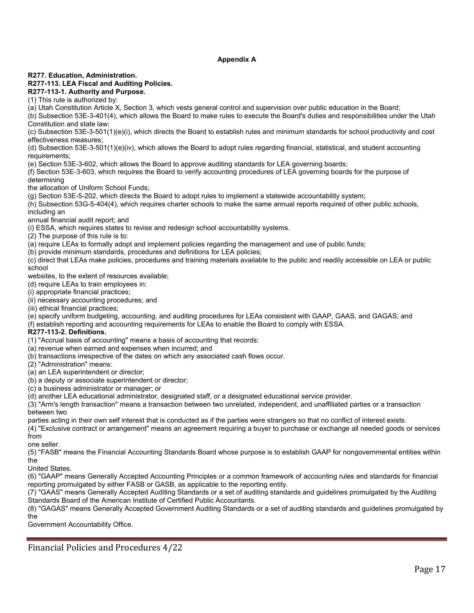#### **Appendix A**

#### **R277. Education, Administration.**

#### **R277-113. LEA Fiscal and Auditing Policies.**

**R277-113-1. Authority and Purpose.**

(1) This rule is authorized by:

(a) Utah Constitution Article X, Section 3, which vests general control and supervision over public education in the Board;

(b) Subsection 53E-3-401(4), which allows the Board to make rules to execute the Board's duties and responsibilities under the Utah Constitution and state law;

(c) Subsection 53E-3-501(1)(e)(i), which directs the Board to establish rules and minimum standards for school productivity and cost effectiveness measures;

(d) Subsection 53E-3-501(1)(e)(iv), which allows the Board to adopt rules regarding financial, statistical, and student accounting requirements;

(e) Section 53E-3-602, which allows the Board to approve auditing standards for LEA governing boards;

(f) Section 53E-3-603, which requires the Board to verify accounting procedures of LEA governing boards for the purpose of determining

the allocation of Uniform School Funds;

(g) Section 53E-5-202, which directs the Board to adopt rules to implement a statewide accountability system;

(h) Subsection 53G-5-404(4), which requires charter schools to make the same annual reports required of other public schools, including an

annual financial audit report; and

(i) ESSA, which requires states to revise and redesign school accountability systems.

(2) The purpose of this rule is to:

(a) require LEAs to formally adopt and implement policies regarding the management and use of public funds;

(b) provide minimum standards, procedures and definitions for LEA policies;

(c) direct that LEAs make policies, procedures and training materials available to the public and readily accessible on LEA or public school

websites, to the extent of resources available;

(d) require LEAs to train employees in:

(i) appropriate financial practices;

(ii) necessary accounting procedures; and

(iii) ethical financial practices;

(e) specify uniform budgeting, accounting, and auditing procedures for LEAs consistent with GAAP, GAAS, and GAGAS; and

(f) establish reporting and accounting requirements for LEAs to enable the Board to comply with ESSA.

**R277-113-2. Definitions.**

(1) "Accrual basis of accounting" means a basis of accounting that records:

(a) revenue when earned and expenses when incurred; and

(b) transactions irrespective of the dates on which any associated cash flows occur.

(2) "Administration" means:

(a) an LEA superintendent or director;

(b) a deputy or associate superintendent or director;

(c) a business administrator or manager; or

(d) another LEA educational administrator, designated staff, or a designated educational service provider.

(3) "Arm's length transaction" means a transaction between two unrelated, independent, and unaffiliated parties or a transaction between two

parties acting in their own self interest that is conducted as if the parties were strangers so that no conflict of interest exists.

(4) "Exclusive contract or arrangement" means an agreement requiring a buyer to purchase or exchange all needed goods or services from

one seller.

(5) "FASB" means the Financial Accounting Standards Board whose purpose is to establish GAAP for nongovernmental entities within the

United States.

(6) "GAAP" means Generally Accepted Accounting Principles or a common framework of accounting rules and standards for financial reporting promulgated by either FASB or GASB, as applicable to the reporting entity.

(7) "GAAS" means Generally Accepted Auditing Standards or a set of auditing standards and guidelines promulgated by the Auditing Standards Board of the American Institute of Certified Public Accountants.

(8) "GAGAS" means Generally Accepted Government Auditing Standards or a set of auditing standards and guidelines promulgated by the

Government Accountability Office.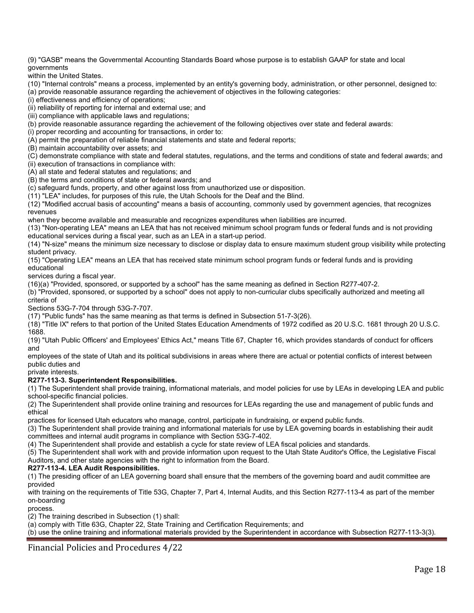(9) "GASB" means the Governmental Accounting Standards Board whose purpose is to establish GAAP for state and local governments

within the United States.

(10) "Internal controls" means a process, implemented by an entity's governing body, administration, or other personnel, designed to:

(a) provide reasonable assurance regarding the achievement of objectives in the following categories:

(i) effectiveness and efficiency of operations;

(ii) reliability of reporting for internal and external use; and

(iii) compliance with applicable laws and regulations;

(b) provide reasonable assurance regarding the achievement of the following objectives over state and federal awards:

(i) proper recording and accounting for transactions, in order to:

(A) permit the preparation of reliable financial statements and state and federal reports;

(B) maintain accountability over assets; and

(C) demonstrate compliance with state and federal statutes, regulations, and the terms and conditions of state and federal awards; and

(ii) execution of transactions in compliance with:

(A) all state and federal statutes and regulations; and

(B) the terms and conditions of state or federal awards; and

(c) safeguard funds, property, and other against loss from unauthorized use or disposition.

(11) "LEA" includes, for purposes of this rule, the Utah Schools for the Deaf and the Blind.

(12) "Modified accrual basis of accounting" means a basis of accounting, commonly used by government agencies, that recognizes revenues

when they become available and measurable and recognizes expenditures when liabilities are incurred.

(13) "Non-operating LEA" means an LEA that has not received minimum school program funds or federal funds and is not providing educational services during a fiscal year, such as an LEA in a start-up period.

(14) "N-size" means the minimum size necessary to disclose or display data to ensure maximum student group visibility while protecting student privacy.

(15) "Operating LEA" means an LEA that has received state minimum school program funds or federal funds and is providing educational

services during a fiscal year.

(16)(a) "Provided, sponsored, or supported by a school" has the same meaning as defined in Section R277-407-2.

(b) "Provided, sponsored, or supported by a school" does not apply to non-curricular clubs specifically authorized and meeting all criteria of

Sections 53G-7-704 through 53G-7-707.

(17) "Public funds" has the same meaning as that terms is defined in Subsection 51-7-3(26).

(18) "Title IX" refers to that portion of the United States Education Amendments of 1972 codified as 20 U.S.C. 1681 through 20 U.S.C. 1688.

(19) "Utah Public Officers' and Employees' Ethics Act," means Title 67, Chapter 16, which provides standards of conduct for officers and

employees of the state of Utah and its political subdivisions in areas where there are actual or potential conflicts of interest between public duties and

private interests.

#### **R277-113-3. Superintendent Responsibilities.**

(1) The Superintendent shall provide training, informational materials, and model policies for use by LEAs in developing LEA and public school-specific financial policies.

(2) The Superintendent shall provide online training and resources for LEAs regarding the use and management of public funds and ethical

practices for licensed Utah educators who manage, control, participate in fundraising, or expend public funds.

(3) The Superintendent shall provide training and informational materials for use by LEA governing boards in establishing their audit committees and internal audit programs in compliance with Section 53G-7-402.

(4) The Superintendent shall provide and establish a cycle for state review of LEA fiscal policies and standards.

(5) The Superintendent shall work with and provide information upon request to the Utah State Auditor's Office, the Legislative Fiscal Auditors, and other state agencies with the right to information from the Board.

#### **R277-113-4. LEA Audit Responsibilities.**

(1) The presiding officer of an LEA governing board shall ensure that the members of the governing board and audit committee are provided

with training on the requirements of Title 53G, Chapter 7, Part 4, Internal Audits, and this Section R277-113-4 as part of the member on-boarding

process.

(2) The training described in Subsection (1) shall:

(a) comply with Title 63G, Chapter 22, State Training and Certification Requirements; and

(b) use the online training and informational materials provided by the Superintendent in accordance with Subsection R277-113-3(3).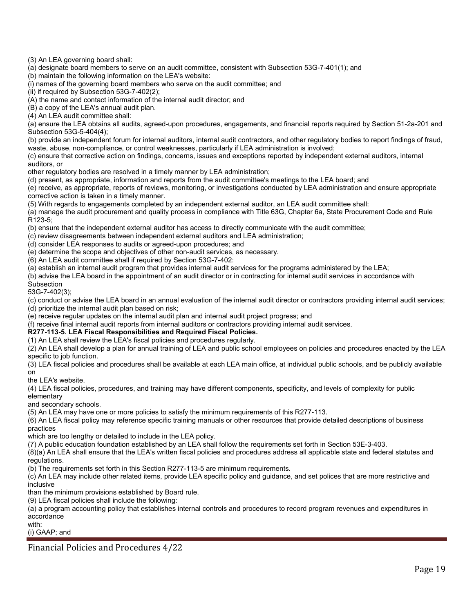(3) An LEA governing board shall:

(a) designate board members to serve on an audit committee, consistent with Subsection 53G-7-401(1); and

(b) maintain the following information on the LEA's website:

(i) names of the governing board members who serve on the audit committee; and

(ii) if required by Subsection 53G-7-402(2);

(A) the name and contact information of the internal audit director; and

(B) a copy of the LEA's annual audit plan.

(4) An LEA audit committee shall:

(a) ensure the LEA obtains all audits, agreed-upon procedures, engagements, and financial reports required by Section 51-2a-201 and Subsection 53G-5-404(4);

(b) provide an independent forum for internal auditors, internal audit contractors, and other regulatory bodies to report findings of fraud, waste, abuse, non-compliance, or control weaknesses, particularly if LEA administration is involved;

(c) ensure that corrective action on findings, concerns, issues and exceptions reported by independent external auditors, internal auditors, or

other regulatory bodies are resolved in a timely manner by LEA administration;

(d) present, as appropriate, information and reports from the audit committee's meetings to the LEA board; and

(e) receive, as appropriate, reports of reviews, monitoring, or investigations conducted by LEA administration and ensure appropriate corrective action is taken in a timely manner.

(5) With regards to engagements completed by an independent external auditor, an LEA audit committee shall:

(a) manage the audit procurement and quality process in compliance with Title 63G, Chapter 6a, State Procurement Code and Rule R123-5;

(b) ensure that the independent external auditor has access to directly communicate with the audit committee;

(c) review disagreements between independent external auditors and LEA administration;

(d) consider LEA responses to audits or agreed-upon procedures; and

(e) determine the scope and objectives of other non-audit services, as necessary.

(6) An LEA audit committee shall if required by Section 53G-7-402:

(a) establish an internal audit program that provides internal audit services for the programs administered by the LEA;

(b) advise the LEA board in the appointment of an audit director or in contracting for internal audit services in accordance with

**Subsection** 53G-7-402(3);

(c) conduct or advise the LEA board in an annual evaluation of the internal audit director or contractors providing internal audit services; (d) prioritize the internal audit plan based on risk;

(e) receive regular updates on the internal audit plan and internal audit project progress; and

(f) receive final internal audit reports from internal auditors or contractors providing internal audit services.

**R277-113-5. LEA Fiscal Responsibilities and Required Fiscal Policies.**

(1) An LEA shall review the LEA's fiscal policies and procedures regularly.

(2) An LEA shall develop a plan for annual training of LEA and public school employees on policies and procedures enacted by the LEA specific to job function.

(3) LEA fiscal policies and procedures shall be available at each LEA main office, at individual public schools, and be publicly available on

the LEA's website.

(4) LEA fiscal policies, procedures, and training may have different components, specificity, and levels of complexity for public elementary

and secondary schools.

(5) An LEA may have one or more policies to satisfy the minimum requirements of this R277-113.

(6) An LEA fiscal policy may reference specific training manuals or other resources that provide detailed descriptions of business practices

which are too lengthy or detailed to include in the LEA policy.

(7) A public education foundation established by an LEA shall follow the requirements set forth in Section 53E-3-403.

(8)(a) An LEA shall ensure that the LEA's written fiscal policies and procedures address all applicable state and federal statutes and regulations.

(b) The requirements set forth in this Section R277-113-5 are minimum requirements.

(c) An LEA may include other related items, provide LEA specific policy and guidance, and set polices that are more restrictive and inclusive

than the minimum provisions established by Board rule.

(9) LEA fiscal policies shall include the following:

(a) a program accounting policy that establishes internal controls and procedures to record program revenues and expenditures in accordance

with:

(i) GAAP; and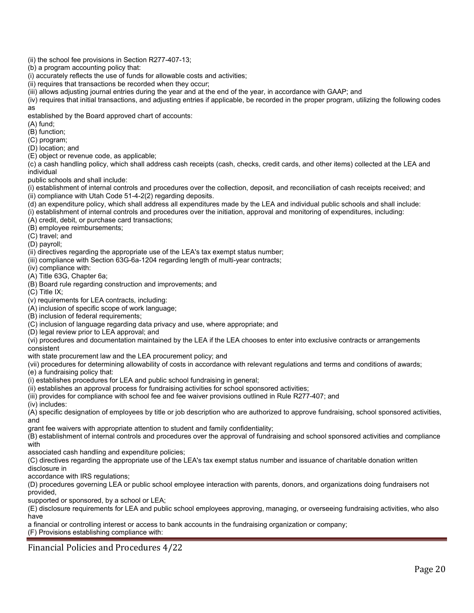- (ii) the school fee provisions in Section R277-407-13;
- (b) a program accounting policy that:
- (i) accurately reflects the use of funds for allowable costs and activities;
- (ii) requires that transactions be recorded when they occur;
- (iii) allows adjusting journal entries during the year and at the end of the year, in accordance with GAAP; and
- (iv) requires that initial transactions, and adjusting entries if applicable, be recorded in the proper program, utilizing the following codes as

established by the Board approved chart of accounts:

- (A) fund;
- (B) function;
- (C) program;
- (D) location; and
- (E) object or revenue code, as applicable;

(c) a cash handling policy, which shall address cash receipts (cash, checks, credit cards, and other items) collected at the LEA and individual

public schools and shall include:

(i) establishment of internal controls and procedures over the collection, deposit, and reconciliation of cash receipts received; and (ii) compliance with Utah Code 51-4-2(2) regarding deposits.

(d) an expenditure policy, which shall address all expenditures made by the LEA and individual public schools and shall include:

(i) establishment of internal controls and procedures over the initiation, approval and monitoring of expenditures, including:

(A) credit, debit, or purchase card transactions;

(B) employee reimbursements;

(C) travel; and

(D) payroll;

(ii) directives regarding the appropriate use of the LEA's tax exempt status number;

- (iii) compliance with Section 63G-6a-1204 regarding length of multi-year contracts;
- (iv) compliance with:

(A) Title 63G, Chapter 6a;

(B) Board rule regarding construction and improvements; and

(C) Title IX;

(v) requirements for LEA contracts, including:

(A) inclusion of specific scope of work language;

(B) inclusion of federal requirements;

- (C) inclusion of language regarding data privacy and use, where appropriate; and
- (D) legal review prior to LEA approval; and

(vi) procedures and documentation maintained by the LEA if the LEA chooses to enter into exclusive contracts or arrangements consistent

with state procurement law and the LEA procurement policy; and

(vii) procedures for determining allowability of costs in accordance with relevant regulations and terms and conditions of awards;

(e) a fundraising policy that:

(i) establishes procedures for LEA and public school fundraising in general;

(ii) establishes an approval process for fundraising activities for school sponsored activities;

(iii) provides for compliance with school fee and fee waiver provisions outlined in Rule R277-407; and

(iv) includes:

(A) specific designation of employees by title or job description who are authorized to approve fundraising, school sponsored activities, and

grant fee waivers with appropriate attention to student and family confidentiality;

(B) establishment of internal controls and procedures over the approval of fundraising and school sponsored activities and compliance with

associated cash handling and expenditure policies;

(C) directives regarding the appropriate use of the LEA's tax exempt status number and issuance of charitable donation written disclosure in

accordance with IRS regulations;

(D) procedures governing LEA or public school employee interaction with parents, donors, and organizations doing fundraisers not provided,

supported or sponsored, by a school or LEA;

(E) disclosure requirements for LEA and public school employees approving, managing, or overseeing fundraising activities, who also have

a financial or controlling interest or access to bank accounts in the fundraising organization or company;

(F) Provisions establishing compliance with: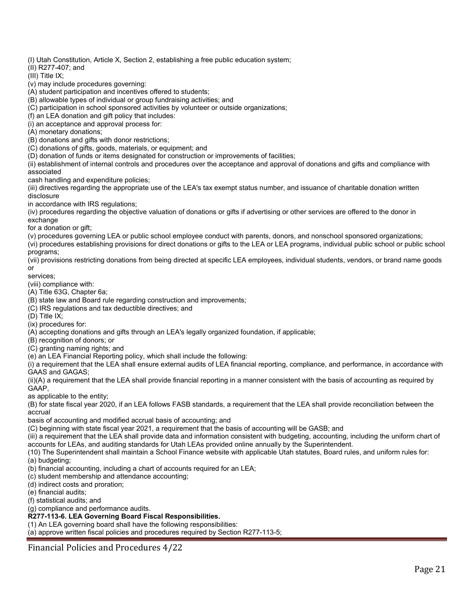(I) Utah Constitution, Article X, Section 2, establishing a free public education system;

(II) R277-407; and

 $(III)$  Title IX;

(v) may include procedures governing:

(A) student participation and incentives offered to students;

(B) allowable types of individual or group fundraising activities; and

(C) participation in school sponsored activities by volunteer or outside organizations;

(f) an LEA donation and gift policy that includes:

(i) an acceptance and approval process for:

(A) monetary donations;

(B) donations and gifts with donor restrictions;

(C) donations of gifts, goods, materials, or equipment; and

(D) donation of funds or items designated for construction or improvements of facilities;

(ii) establishment of internal controls and procedures over the acceptance and approval of donations and gifts and compliance with associated

cash handling and expenditure policies;

(iii) directives regarding the appropriate use of the LEA's tax exempt status number, and issuance of charitable donation written disclosure

in accordance with IRS regulations;

(iv) procedures regarding the objective valuation of donations or gifts if advertising or other services are offered to the donor in

exchange

for a donation or gift;

(v) procedures governing LEA or public school employee conduct with parents, donors, and nonschool sponsored organizations;

(vi) procedures establishing provisions for direct donations or gifts to the LEA or LEA programs, individual public school or public school programs;

(vii) provisions restricting donations from being directed at specific LEA employees, individual students, vendors, or brand name goods or

services;

(viii) compliance with:

(A) Title 63G, Chapter 6a;

(B) state law and Board rule regarding construction and improvements;

(C) IRS regulations and tax deductible directives; and

(D) Title IX;

(ix) procedures for:

(A) accepting donations and gifts through an LEA's legally organized foundation, if applicable;

(B) recognition of donors; or

(C) granting naming rights; and

(e) an LEA Financial Reporting policy, which shall include the following:

(i) a requirement that the LEA shall ensure external audits of LEA financial reporting, compliance, and performance, in accordance with GAAS and GAGAS;

(ii)(A) a requirement that the LEA shall provide financial reporting in a manner consistent with the basis of accounting as required by GAAP,

as applicable to the entity;

(B) for state fiscal year 2020, if an LEA follows FASB standards, a requirement that the LEA shall provide reconciliation between the accrual

basis of accounting and modified accrual basis of accounting; and

(C) beginning with state fiscal year 2021, a requirement that the basis of accounting will be GASB; and

(iii) a requirement that the LEA shall provide data and information consistent with budgeting, accounting, including the uniform chart of accounts for LEAs, and auditing standards for Utah LEAs provided online annually by the Superintendent.

(10) The Superintendent shall maintain a School Finance website with applicable Utah statutes, Board rules, and uniform rules for: (a) budgeting;

(b) financial accounting, including a chart of accounts required for an LEA;

(c) student membership and attendance accounting;

(d) indirect costs and proration;

(e) financial audits;

(f) statistical audits; and

(g) compliance and performance audits.

**R277-113-6. LEA Governing Board Fiscal Responsibilities.**

(1) An LEA governing board shall have the following responsibilities:

(a) approve written fiscal policies and procedures required by Section R277-113-5;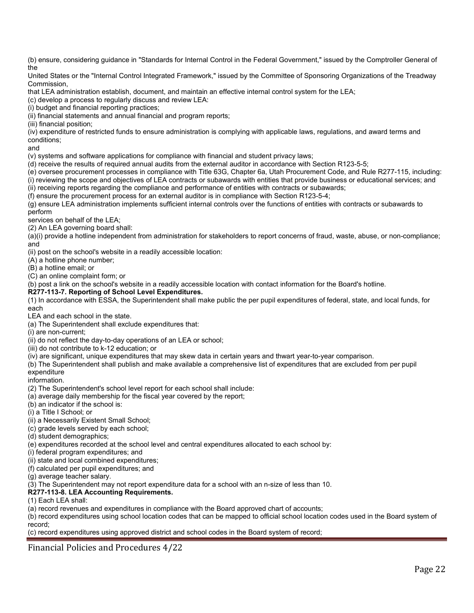(b) ensure, considering guidance in "Standards for Internal Control in the Federal Government," issued by the Comptroller General of the

United States or the "Internal Control Integrated Framework," issued by the Committee of Sponsoring Organizations of the Treadway Commission,

that LEA administration establish, document, and maintain an effective internal control system for the LEA;

(c) develop a process to regularly discuss and review LEA:

(i) budget and financial reporting practices;

(ii) financial statements and annual financial and program reports;

(iii) financial position;

(iv) expenditure of restricted funds to ensure administration is complying with applicable laws, regulations, and award terms and conditions;

and

(v) systems and software applications for compliance with financial and student privacy laws;

(d) receive the results of required annual audits from the external auditor in accordance with Section R123-5-5;

(e) oversee procurement processes in compliance with Title 63G, Chapter 6a, Utah Procurement Code, and Rule R277-115, including: (i) reviewing the scope and objectives of LEA contracts or subawards with entities that provide business or educational services; and (ii) receiving reports regarding the compliance and performance of entities with contracts or subawards;

(f) ensure the procurement process for an external auditor is in compliance with Section R123-5-4;

(g) ensure LEA administration implements sufficient internal controls over the functions of entities with contracts or subawards to perform

services on behalf of the LEA;

(2) An LEA governing board shall:

(a)(i) provide a hotline independent from administration for stakeholders to report concerns of fraud, waste, abuse, or non-compliance; and

(ii) post on the school's website in a readily accessible location:

(A) a hotline phone number;

(B) a hotline email; or

(C) an online complaint form; or

(b) post a link on the school's website in a readily accessible location with contact information for the Board's hotline.

#### **R277-113-7. Reporting of School Level Expenditures.**

(1) In accordance with ESSA, the Superintendent shall make public the per pupil expenditures of federal, state, and local funds, for each

LEA and each school in the state.

(a) The Superintendent shall exclude expenditures that:

(i) are non-current;

(ii) do not reflect the day-to-day operations of an LEA or school;

(iii) do not contribute to k-12 education; or

(iv) are significant, unique expenditures that may skew data in certain years and thwart year-to-year comparison.

(b) The Superintendent shall publish and make available a comprehensive list of expenditures that are excluded from per pupil expenditure

information.

(2) The Superintendent's school level report for each school shall include:

(a) average daily membership for the fiscal year covered by the report;

(b) an indicator if the school is:

(i) a Title I School; or

(ii) a Necessarily Existent Small School;

(c) grade levels served by each school;

(d) student demographics;

(e) expenditures recorded at the school level and central expenditures allocated to each school by:

(i) federal program expenditures; and

(ii) state and local combined expenditures;

(f) calculated per pupil expenditures; and

(g) average teacher salary.

(3) The Superintendent may not report expenditure data for a school with an n-size of less than 10.

#### **R277-113-8. LEA Accounting Requirements.**

(1) Each LEA shall:

(a) record revenues and expenditures in compliance with the Board approved chart of accounts;

(b) record expenditures using school location codes that can be mapped to official school location codes used in the Board system of record;

(c) record expenditures using approved district and school codes in the Board system of record;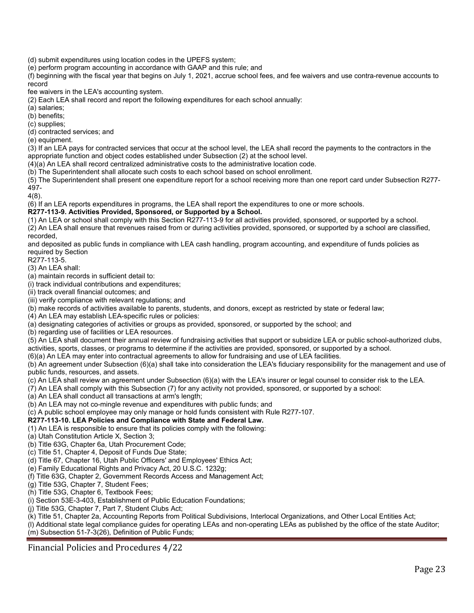(d) submit expenditures using location codes in the UPEFS system;

(e) perform program accounting in accordance with GAAP and this rule; and

(f) beginning with the fiscal year that begins on July 1, 2021, accrue school fees, and fee waivers and use contra-revenue accounts to record

fee waivers in the LEA's accounting system.

(2) Each LEA shall record and report the following expenditures for each school annually:

(a) salaries;

(b) benefits;

(c) supplies; (d) contracted services; and

(e) equipment.

(3) If an LEA pays for contracted services that occur at the school level, the LEA shall record the payments to the contractors in the appropriate function and object codes established under Subsection (2) at the school level.

(4)(a) An LEA shall record centralized administrative costs to the administrative location code.

(b) The Superintendent shall allocate such costs to each school based on school enrollment.

(5) The Superintendent shall present one expenditure report for a school receiving more than one report card under Subsection R277- 497-

4(8).

(6) If an LEA reports expenditures in programs, the LEA shall report the expenditures to one or more schools.

**R277-113-9. Activities Provided, Sponsored, or Supported by a School.**

(1) An LEA or school shall comply with this Section R277-113-9 for all activities provided, sponsored, or supported by a school.

(2) An LEA shall ensure that revenues raised from or during activities provided, sponsored, or supported by a school are classified, recorded,

and deposited as public funds in compliance with LEA cash handling, program accounting, and expenditure of funds policies as required by Section

R277-113-5.

(3) An LEA shall:

(a) maintain records in sufficient detail to:

(i) track individual contributions and expenditures;

(ii) track overall financial outcomes; and

(iii) verify compliance with relevant regulations; and

(b) make records of activities available to parents, students, and donors, except as restricted by state or federal law;

(4) An LEA may establish LEA-specific rules or policies:

(a) designating categories of activities or groups as provided, sponsored, or supported by the school; and

(b) regarding use of facilities or LEA resources.

(5) An LEA shall document their annual review of fundraising activities that support or subsidize LEA or public school-authorized clubs, activities, sports, classes, or programs to determine if the activities are provided, sponsored, or supported by a school.

(6)(a) An LEA may enter into contractual agreements to allow for fundraising and use of LEA facilities.

(b) An agreement under Subsection (6)(a) shall take into consideration the LEA's fiduciary responsibility for the management and use of public funds, resources, and assets.

(c) An LEA shall review an agreement under Subsection (6)(a) with the LEA's insurer or legal counsel to consider risk to the LEA.

(7) An LEA shall comply with this Subsection (7) for any activity not provided, sponsored, or supported by a school:

(a) An LEA shall conduct all transactions at arm's length;

(b) An LEA may not co-mingle revenue and expenditures with public funds; and

(c) A public school employee may only manage or hold funds consistent with Rule R277-107.

#### **R277-113-10. LEA Policies and Compliance with State and Federal Law.**

(1) An LEA is responsible to ensure that its policies comply with the following:

(a) Utah Constitution Article X, Section 3;

(b) Title 63G, Chapter 6a, Utah Procurement Code;

(c) Title 51, Chapter 4, Deposit of Funds Due State;

(d) Title 67, Chapter 16, Utah Public Officers' and Employees' Ethics Act;

(e) Family Educational Rights and Privacy Act, 20 U.S.C. 1232g;

(f) Title 63G, Chapter 2, Government Records Access and Management Act;

(g) Title 53G, Chapter 7, Student Fees;

(h) Title 53G, Chapter 6, Textbook Fees;

(i) Section 53E-3-403, Establishment of Public Education Foundations;

(j) Title 53G, Chapter 7, Part 7, Student Clubs Act;

(k) Title 51, Chapter 2a, Accounting Reports from Political Subdivisions, Interlocal Organizations, and Other Local Entities Act;

(l) Additional state legal compliance guides for operating LEAs and non-operating LEAs as published by the office of the state Auditor; (m) Subsection 51-7-3(26), Definition of Public Funds;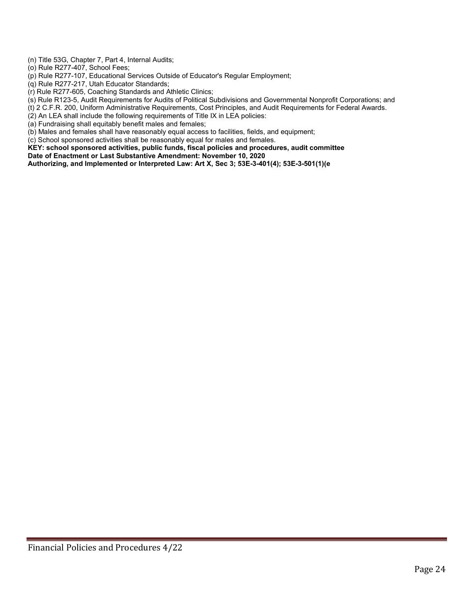(n) Title 53G, Chapter 7, Part 4, Internal Audits;

(o) Rule R277-407, School Fees;

(p) Rule R277-107, Educational Services Outside of Educator's Regular Employment;

(q) Rule R277-217, Utah Educator Standards;

(r) Rule R277-605, Coaching Standards and Athletic Clinics;

(s) Rule R123-5, Audit Requirements for Audits of Political Subdivisions and Governmental Nonprofit Corporations; and

(t) 2 C.F.R. 200, Uniform Administrative Requirements, Cost Principles, and Audit Requirements for Federal Awards.

(2) An LEA shall include the following requirements of Title IX in LEA policies:

(a) Fundraising shall equitably benefit males and females;

(b) Males and females shall have reasonably equal access to facilities, fields, and equipment;

(c) School sponsored activities shall be reasonably equal for males and females.

**KEY: school sponsored activities, public funds, fiscal policies and procedures, audit committee**

**Date of Enactment or Last Substantive Amendment: November 10, 2020**

**Authorizing, and Implemented or Interpreted Law: Art X, Sec 3; 53E-3-401(4); 53E-3-501(1)(e**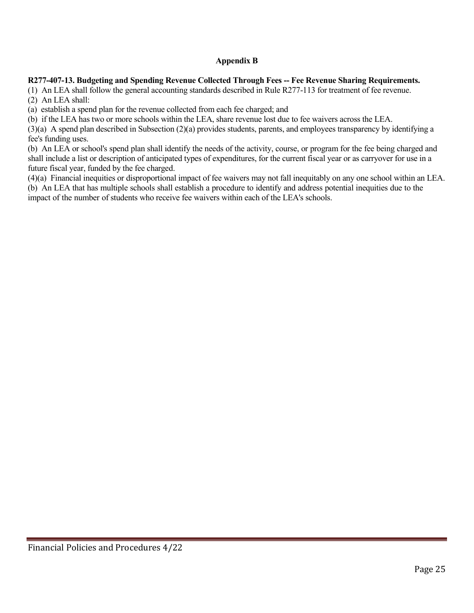## **Appendix B**

#### **R277-407-13. Budgeting and Spending Revenue Collected Through Fees -- Fee Revenue Sharing Requirements.**

(1) An LEA shall follow the general accounting standards described in Rule R277-113 for treatment of fee revenue. (2) An LEA shall:

(a) establish a spend plan for the revenue collected from each fee charged; and

(b) if the LEA has two or more schools within the LEA, share revenue lost due to fee waivers across the LEA.

(3)(a) A spend plan described in Subsection (2)(a) provides students, parents, and employees transparency by identifying a fee's funding uses.

(b) An LEA or school's spend plan shall identify the needs of the activity, course, or program for the fee being charged and shall include a list or description of anticipated types of expenditures, for the current fiscal year or as carryover for use in a future fiscal year, funded by the fee charged.

(4)(a) Financial inequities or disproportional impact of fee waivers may not fall inequitably on any one school within an LEA. (b) An LEA that has multiple schools shall establish a procedure to identify and address potential inequities due to the impact of the number of students who receive fee waivers within each of the LEA's schools.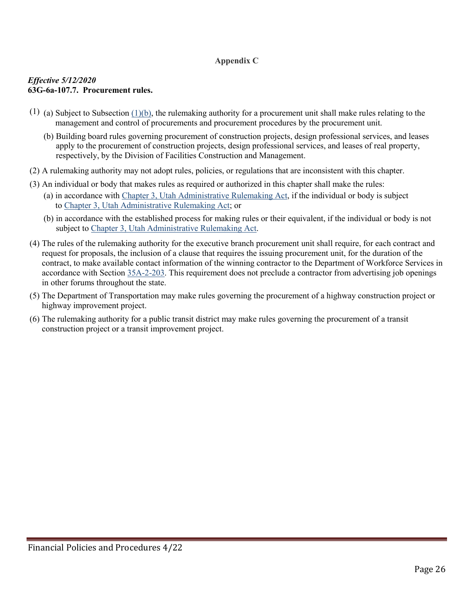## **Appendix C**

### *Effective 5/12/2020* **63G-6a-107.7. Procurement rules.**

- (1) (a) Subject to Subsection  $(1)(b)$ , the rulemaking authority for a procurement unit shall make rules relating to the management and control of procurements and procurement procedures by the procurement unit.
	- (b) Building board rules governing procurement of construction projects, design professional services, and leases apply to the procurement of construction projects, design professional services, and leases of real property, respectively, by the Division of Facilities Construction and Management.
- (2) A rulemaking authority may not adopt rules, policies, or regulations that are inconsistent with this chapter.
- (3) An individual or body that makes rules as required or authorized in this chapter shall make the rules:
	- (a) in accordance with [Chapter 3, Utah Administrative Rulemaking Act,](https://le.utah.gov/xcode/Title63G/Chapter3/63G-3.html?v=C63G-3_1800010118000101) if the individual or body is subject to [Chapter 3, Utah Administrative Rulemaking Act;](https://le.utah.gov/xcode/Title63G/Chapter3/63G-3.html?v=C63G-3_1800010118000101) or
	- (b) in accordance with the established process for making rules or their equivalent, if the individual or body is not subject to [Chapter 3, Utah Administrative Rulemaking Act.](https://le.utah.gov/xcode/Title63G/Chapter3/63G-3.html?v=C63G-3_1800010118000101)
- (4) The rules of the rulemaking authority for the executive branch procurement unit shall require, for each contract and request for proposals, the inclusion of a clause that requires the issuing procurement unit, for the duration of the contract, to make available contact information of the winning contractor to the Department of Workforce Services in accordance with Section [35A-2-203.](https://le.utah.gov/xcode/Title35A/Chapter2/35A-2-S203.html?v=C35A-2-S203_2014040320140513) This requirement does not preclude a contractor from advertising job openings in other forums throughout the state.
- (5) The Department of Transportation may make rules governing the procurement of a highway construction project or highway improvement project.
- (6) The rulemaking authority for a public transit district may make rules governing the procurement of a transit construction project or a transit improvement project.